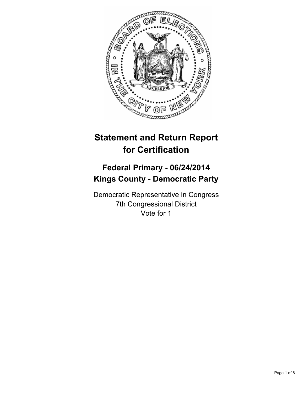

# **Statement and Return Report for Certification**

## **Federal Primary - 06/24/2014 Kings County - Democratic Party**

Democratic Representative in Congress 7th Congressional District Vote for 1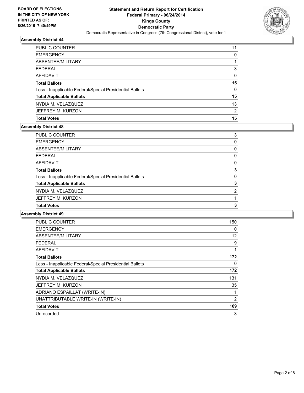

| <b>PUBLIC COUNTER</b>                                    | 11       |
|----------------------------------------------------------|----------|
| <b>EMERGENCY</b>                                         | 0        |
| ABSENTEE/MILITARY                                        |          |
| <b>FEDERAL</b>                                           | 3        |
| AFFIDAVIT                                                | 0        |
| <b>Total Ballots</b>                                     | 15       |
| Less - Inapplicable Federal/Special Presidential Ballots | $\Omega$ |
| <b>Total Applicable Ballots</b>                          | 15       |
| NYDIA M. VELAZQUEZ                                       | 13       |
| JEFFREY M. KURZON                                        | 2        |
| <b>Total Votes</b>                                       | 15       |

#### **Assembly District 48**

| <b>PUBLIC COUNTER</b>                                    | 3 |
|----------------------------------------------------------|---|
| <b>EMERGENCY</b>                                         | 0 |
| ABSENTEE/MILITARY                                        | 0 |
| <b>FEDERAL</b>                                           | 0 |
| AFFIDAVIT                                                | 0 |
| <b>Total Ballots</b>                                     | 3 |
| Less - Inapplicable Federal/Special Presidential Ballots | 0 |
| <b>Total Applicable Ballots</b>                          | 3 |
| NYDIA M. VELAZQUEZ                                       | 2 |
| JEFFREY M. KURZON                                        |   |
| <b>Total Votes</b>                                       | 3 |
|                                                          |   |

| <b>PUBLIC COUNTER</b>                                    | 150 |
|----------------------------------------------------------|-----|
| <b>EMERGENCY</b>                                         | 0   |
| ABSENTEE/MILITARY                                        | 12  |
| <b>FEDERAL</b>                                           | 9   |
| <b>AFFIDAVIT</b>                                         | 1   |
| <b>Total Ballots</b>                                     | 172 |
| Less - Inapplicable Federal/Special Presidential Ballots | 0   |
| <b>Total Applicable Ballots</b>                          | 172 |
| NYDIA M. VELAZQUEZ                                       | 131 |
| JEFFREY M. KURZON                                        | 35  |
| ADRIANO ESPAILLAT (WRITE-IN)                             | 1   |
| UNATTRIBUTABLE WRITE-IN (WRITE-IN)                       | 2   |
| <b>Total Votes</b>                                       | 169 |
| Unrecorded                                               | 3   |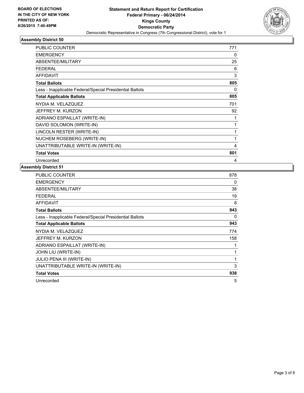

| <b>PUBLIC COUNTER</b>                                    | 771 |
|----------------------------------------------------------|-----|
| <b>EMERGENCY</b>                                         | 0   |
| ABSENTEE/MILITARY                                        | 25  |
| <b>FEDERAL</b>                                           | 6   |
| <b>AFFIDAVIT</b>                                         | 3   |
| <b>Total Ballots</b>                                     | 805 |
| Less - Inapplicable Federal/Special Presidential Ballots | 0   |
| <b>Total Applicable Ballots</b>                          | 805 |
| NYDIA M. VELAZQUEZ                                       | 701 |
| JEFFREY M. KURZON                                        | 92  |
| ADRIANO ESPAILLAT (WRITE-IN)                             | 1   |
| DAVID SOLOMON (WRITE-IN)                                 | 1   |
| LINCOLN RESTER (WRITE-IN)                                | 1   |
| NUCHEM ROSEBERG (WRITE-IN)                               | 1   |
| UNATTRIBUTABLE WRITE-IN (WRITE-IN)                       | 4   |
| <b>Total Votes</b>                                       | 801 |
| Unrecorded                                               | 4   |

| PUBLIC COUNTER                                           | 878 |
|----------------------------------------------------------|-----|
| <b>EMERGENCY</b>                                         | 0   |
| ABSENTEE/MILITARY                                        | 38  |
| <b>FEDERAL</b>                                           | 19  |
| AFFIDAVIT                                                | 8   |
| <b>Total Ballots</b>                                     | 943 |
| Less - Inapplicable Federal/Special Presidential Ballots | 0   |
| <b>Total Applicable Ballots</b>                          | 943 |
| NYDIA M. VELAZQUEZ                                       | 774 |
| JEFFREY M. KURZON                                        | 158 |
| ADRIANO ESPAILLAT (WRITE-IN)                             |     |
| JOHN LIU (WRITE-IN)                                      | 1   |
| JULIO PENA III (WRITE-IN)                                | 1   |
| UNATTRIBUTABLE WRITE-IN (WRITE-IN)                       | 3   |
| <b>Total Votes</b>                                       | 938 |
| Unrecorded                                               | 5   |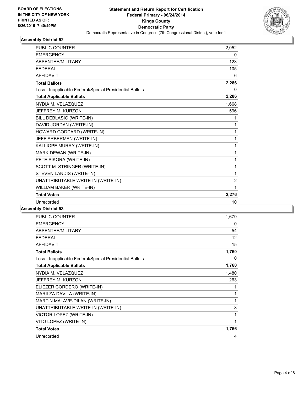

| <b>PUBLIC COUNTER</b>                                    | 2,052          |
|----------------------------------------------------------|----------------|
| <b>EMERGENCY</b>                                         | 0              |
| ABSENTEE/MILITARY                                        | 123            |
| <b>FEDERAL</b>                                           | 105            |
| <b>AFFIDAVIT</b>                                         | 6              |
| <b>Total Ballots</b>                                     | 2,286          |
| Less - Inapplicable Federal/Special Presidential Ballots | 0              |
| <b>Total Applicable Ballots</b>                          | 2,286          |
| NYDIA M. VELAZQUEZ                                       | 1,668          |
| JEFFREY M. KURZON                                        | 596            |
| BILL DEBLASIO (WRITE-IN)                                 | 1              |
| DAVID JORDAN (WRITE-IN)                                  | 1              |
| HOWARD GODDARD (WRITE-IN)                                | 1              |
| JEFF ARBERMAN (WRITE-IN)                                 | 1              |
| KALLIOPE MURRY (WRITE-IN)                                | 1              |
| MARK DEWAN (WRITE-IN)                                    | 1              |
| PETE SIKORA (WRITE-IN)                                   | 1              |
| SCOTT M. STRINGER (WRITE-IN)                             | 1              |
| STEVEN LANDIS (WRITE-IN)                                 | 1              |
| UNATTRIBUTABLE WRITE-IN (WRITE-IN)                       | $\overline{2}$ |
| WILLIAM BAKER (WRITE-IN)                                 | 1              |
| <b>Total Votes</b>                                       | 2,276          |
| Unrecorded                                               | 10             |

| <b>PUBLIC COUNTER</b>                                    | 1,679 |
|----------------------------------------------------------|-------|
| <b>EMERGENCY</b>                                         | 0     |
| ABSENTEE/MILITARY                                        | 54    |
| <b>FEDERAL</b>                                           | 12    |
| <b>AFFIDAVIT</b>                                         | 15    |
| <b>Total Ballots</b>                                     | 1,760 |
| Less - Inapplicable Federal/Special Presidential Ballots | 0     |
| <b>Total Applicable Ballots</b>                          | 1,760 |
| NYDIA M. VELAZQUEZ                                       | 1,480 |
| JEFFREY M. KURZON                                        | 263   |
| ELIEZER CORDERO (WRITE-IN)                               | 1     |
| MARILZA DAVILA (WRITE-IN)                                | 1     |
| MARTIN MALAVE-DILAN (WRITE-IN)                           | 1     |
| UNATTRIBUTABLE WRITE-IN (WRITE-IN)                       | 8     |
| VICTOR LOPEZ (WRITE-IN)                                  | 1     |
| VITO LOPEZ (WRITE-IN)                                    | 1     |
| <b>Total Votes</b>                                       | 1,756 |
| Unrecorded                                               | 4     |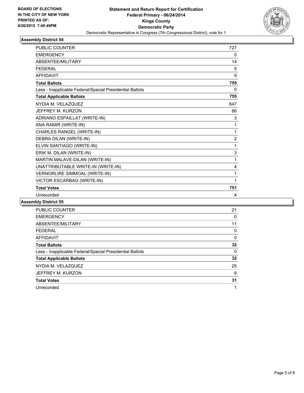

| <b>PUBLIC COUNTER</b>                                    | 727            |
|----------------------------------------------------------|----------------|
| <b>EMERGENCY</b>                                         | 0              |
| ABSENTEE/MILITARY                                        | 14             |
| <b>FFDFRAL</b>                                           | 5              |
| <b>AFFIDAVIT</b>                                         | 9              |
| <b>Total Ballots</b>                                     | 755            |
| Less - Inapplicable Federal/Special Presidential Ballots | 0              |
| <b>Total Applicable Ballots</b>                          | 755            |
| NYDIA M. VELAZQUEZ                                       | 647            |
| JEFFREY M. KURZON                                        | 86             |
| ADRIANO ESPAILLAT (WRITE-IN)                             | 3              |
| ANA RAMIR (WRITE-IN)                                     | 1              |
| CHARLES RANGEL (WRITE-IN)                                | 1              |
| DEBRA DILAN (WRITE-IN)                                   | $\overline{2}$ |
| ELVIN SANTIAGO (WRITE-IN)                                | 1              |
| ERIK M. DILAN (WRITE-IN)                                 | 3              |
| MARTIN MALAVE-DILAN (WRITE-IN)                           | 1              |
| UNATTRIBUTABLE WRITE-IN (WRITE-IN)                       | 4              |
| VERNORLIRE SIMMOAL (WRITE-IN)                            | 1              |
| VICTOR ESCARBAG (WRITE-IN)                               | 1              |
| <b>Total Votes</b>                                       | 751            |
| Unrecorded                                               | 4              |

| <b>PUBLIC COUNTER</b>                                    | 21 |
|----------------------------------------------------------|----|
| <b>EMERGENCY</b>                                         | 0  |
| ABSENTEE/MILITARY                                        | 11 |
| <b>FEDERAL</b>                                           | 0  |
| <b>AFFIDAVIT</b>                                         | 0  |
| <b>Total Ballots</b>                                     | 32 |
| Less - Inapplicable Federal/Special Presidential Ballots | 0  |
| <b>Total Applicable Ballots</b>                          | 32 |
| NYDIA M. VELAZQUEZ                                       | 25 |
| JEFFREY M. KURZON                                        | 6  |
| <b>Total Votes</b>                                       | 31 |
| Unrecorded                                               | 1  |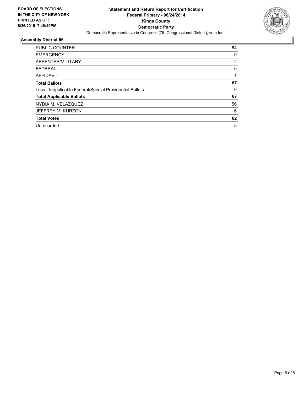

| <b>PUBLIC COUNTER</b>                                    | 64       |
|----------------------------------------------------------|----------|
| <b>EMERGENCY</b>                                         | 0        |
| ABSENTEE/MILITARY                                        | 2        |
| <b>FEDERAL</b>                                           | 0        |
| AFFIDAVIT                                                |          |
| <b>Total Ballots</b>                                     | 67       |
| Less - Inapplicable Federal/Special Presidential Ballots | $\Omega$ |
| <b>Total Applicable Ballots</b>                          | 67       |
| NYDIA M. VELAZQUEZ                                       | 56       |
| JEFFREY M. KURZON                                        | 6        |
| <b>Total Votes</b>                                       | 62       |
| Unrecorded                                               | 5        |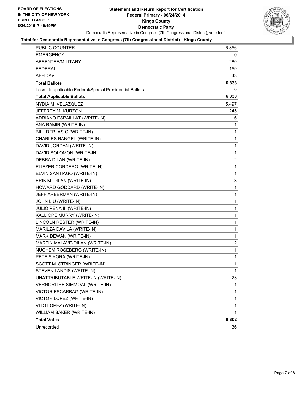

## **Total for Democratic Representative in Congress (7th Congressional District) - Kings County**

| <b>PUBLIC COUNTER</b>                                    | 6,356        |
|----------------------------------------------------------|--------------|
| <b>EMERGENCY</b>                                         | 0            |
| ABSENTEE/MILITARY                                        | 280          |
| <b>FEDERAL</b>                                           | 159          |
| <b>AFFIDAVIT</b>                                         | 43           |
| <b>Total Ballots</b>                                     | 6,838        |
| Less - Inapplicable Federal/Special Presidential Ballots | 0            |
| <b>Total Applicable Ballots</b>                          | 6,838        |
| NYDIA M. VELAZQUEZ                                       | 5,497        |
| JEFFREY M. KURZON                                        | 1,245        |
| ADRIANO ESPAILLAT (WRITE-IN)                             | 6            |
| ANA RAMIR (WRITE-IN)                                     | 1            |
| BILL DEBLASIO (WRITE-IN)                                 | 1            |
| CHARLES RANGEL (WRITE-IN)                                | 1            |
| DAVID JORDAN (WRITE-IN)                                  | 1            |
| DAVID SOLOMON (WRITE-IN)                                 | 1            |
| DEBRA DILAN (WRITE-IN)                                   | 2            |
| ELIEZER CORDERO (WRITE-IN)                               | 1            |
| ELVIN SANTIAGO (WRITE-IN)                                | 1            |
| ERIK M. DILAN (WRITE-IN)                                 | 3            |
| HOWARD GODDARD (WRITE-IN)                                | 1            |
| JEFF ARBERMAN (WRITE-IN)                                 | 1            |
| JOHN LIU (WRITE-IN)                                      | 1            |
| JULIO PENA III (WRITE-IN)                                | 1            |
| KALLIOPE MURRY (WRITE-IN)                                | 1            |
| LINCOLN RESTER (WRITE-IN)                                | 1            |
| MARILZA DAVILA (WRITE-IN)                                | 1            |
| MARK DEWAN (WRITE-IN)                                    | 1            |
| MARTIN MALAVE-DILAN (WRITE-IN)                           | 2            |
| NUCHEM ROSEBERG (WRITE-IN)                               | 1            |
| PETE SIKORA (WRITE-IN)                                   | 1            |
| SCOTT M. STRINGER (WRITE-IN)                             | $\mathbf{1}$ |
| STEVEN LANDIS (WRITE-IN)                                 | 1            |
| UNATTRIBUTABLE WRITE-IN (WRITE-IN)                       | 23           |
| VERNORLIRE SIMMOAL (WRITE-IN)                            | 1            |
| VICTOR ESCARBAG (WRITE-IN)                               | 1            |
| VICTOR LOPEZ (WRITE-IN)                                  | 1            |
| VITO LOPEZ (WRITE-IN)                                    | 1            |
| WILLIAM BAKER (WRITE-IN)                                 | 1            |
| <b>Total Votes</b>                                       | 6,802        |
| Unrecorded                                               | 36           |